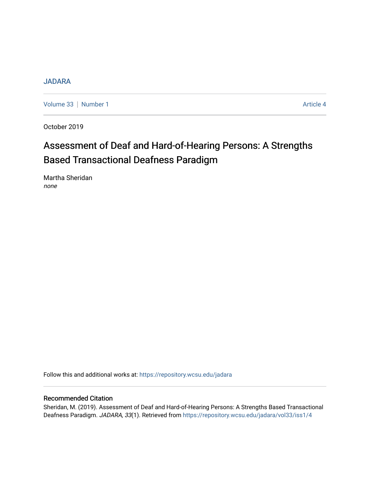# [JADARA](https://repository.wcsu.edu/jadara)

[Volume 33](https://repository.wcsu.edu/jadara/vol33) | [Number 1](https://repository.wcsu.edu/jadara/vol33/iss1) Article 4

October 2019

# Assessment of Deaf and Hard-of-Hearing Persons: A Strengths Based Transactional Deafness Paradigm

Martha Sheridan none

Follow this and additional works at: [https://repository.wcsu.edu/jadara](https://repository.wcsu.edu/jadara?utm_source=repository.wcsu.edu%2Fjadara%2Fvol33%2Fiss1%2F4&utm_medium=PDF&utm_campaign=PDFCoverPages)

# Recommended Citation

Sheridan, M. (2019). Assessment of Deaf and Hard-of-Hearing Persons: A Strengths Based Transactional Deafness Paradigm. JADARA, 33(1). Retrieved from [https://repository.wcsu.edu/jadara/vol33/iss1/4](https://repository.wcsu.edu/jadara/vol33/iss1/4?utm_source=repository.wcsu.edu%2Fjadara%2Fvol33%2Fiss1%2F4&utm_medium=PDF&utm_campaign=PDFCoverPages)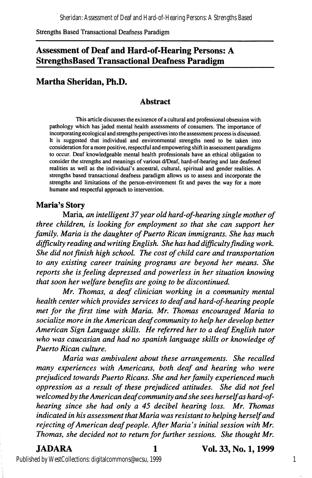# Assessment of Deaf and Hard-of-Hearing Persons: A StrengthsBased Transactional Deafness Paradigm

# Martha Sheridan, Ph.D.

### Abstract

This article discusses the existence of a cultural and professional obsession with pathology which has jaded mental health assessments of consumers. The importance of incorporating ecological and strengths perspectives into the assessment process is discussed. It is suggested that individual and environmental strengths need to be taken into consideration for a more positive, respectful and empowering shift in assessment paradigms to occur. Deaf knowledgeable mental health professionals have an ethical obligation to consider the strengths and meanings of various d/Deaf, hard-of-hearing and late deafened realities as well as the individual's ancestral, cultural, spiritual and gender realities. A strengths based transactional deafness paradigm allows us to assess and incorporate the strengths and limitations of the person-environment fit and paves the way for a more humane and respectful approach to intervention.

### Maria's Story

Maria, an intelligent 37 year old hard-of-hearing single mother of three children, is looking for employment so that she can support her family, Maria is the daughter of Puerto Rican immigrants. She has much difficulty reading and writing English. She has had difficulty finding work. She did not finish high school. The cost of child care and transportation to any existing career training programs are beyond her means. She reports she is feeling depressed and powerless in her situation knowing that soon her welfare benefits are going to be discontinued,

Mr, Thomas, a deaf clinician working in a community mental health center which provides services to deaf and hard-of-hearing people met for the first time with Maria, Mr, Thomas encouraged Maria to socialize more in the American deaf community to help her develop better American Sign Language skills. He referred her to a deaf English tutor who was caucasian and had no spanish language skills or knowledge of Puerto Rican culture,

Maria was ambivalent about these arrangements. She recalled many experiences with Americans, both deaf and hearing who were prejudiced towards Puerto Ricans, She and her family experienced much oppression as a result of these prejudiced attitudes. She did not feel welcomed by the American deaf community and she sees herself as hard-ofhearing since she had only a 45 decibel hearing loss, Mr, Thomas indicated in his assessment that Maria was resistant to helping herself and rejecting of American deaf people. After Maria's initial session with Mr. Thomas, she decided not to return for further sessions. She thought Mr,

JADARA 1 Vol. 33, No. 1,1999

Published by WestCollections: digitalcommons@wcsu, 1999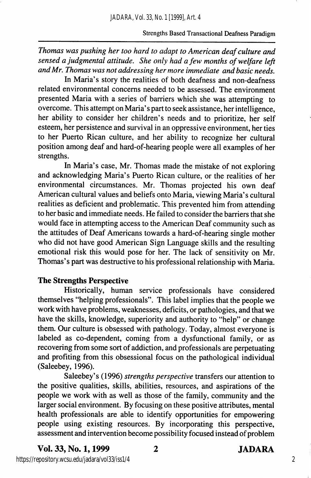Thomas was pushing her too hard to adapt to American deaf culture and sensed a judgmental attitude. She only had a few months of welfare left and Mr. Thomas was not addressing her more immediate and basic needs.

In Maria's story the realities of both deafness and non-deafness related environmental concerns needed to be assessed. The environment presented Maria with a series of barriers which she was attempting to overcome. This attempt on Maria's part to seek assistance, her intelligence, her ability to consider her children's needs and to prioritize, her self esteem, her persistence and survival in an oppressive environment, her ties to her Puerto Rican culture, and her ability to recognize her cultural position among deaf and hard-of-hearing people were all examples of her strengths.

In Maria's case, Mr. Thomas made the mistake of not exploring and acknowledging Maria's Puerto Rican culture, or the realities of her environmental circumstances. Mr. Thomas projected his own deaf American cultural values and beliefs onto Maria, viewing Maria's cultural realities as deficient and problematic. This prevented him from attending to her basic and immediate needs. He failed to consider the barriers that she would face in attempting access to the American Deaf community such as the attitudes of Deaf Americans towards a hard-of-hearing single mother who did not have good American Sign Language skills and the resulting emotional risk this would pose for her. The lack of sensitivity on Mr. Thomas's part was destructive to his professional relationship with Maria.

### The Strengths Perspective

Historically, human service professionals have considered themselves "helping professionals". This label implies that the people we work with have problems, weaknesses, deficits, or pathologies, and that we have the skills, knowledge, superiority and authority to "help" or change them. Our culture is obsessed with pathology. Today, almost everyone is labeled as co-dependent, coming from a dysfunctional family, or as recovering from some sort of addiction, and professionals are perpetuating and profiting from this obsessional focus on the pathological individual (Saleebey, 1996).

Saleebey's (1996) strengths perspective transfers our attention to the positive qualities, skills, abilities, resources, and aspirations of the people we work with as well as those of the family, community and the larger social environment. By focusing on these positive attributes, mental health professionals are able to identify opportunities for empowering people using existing resources. By incorporating this perspective, assessment and intervention become possibility focused instead of problem

Vol. 33, No. 1,1999 2 JADARA

https://repository.wcsu.edu/jadara/vol33/iss1/4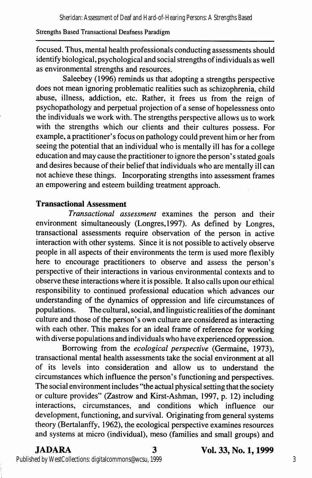focused. Thus, mental health professionals conducting assessments should identify biological, psychological and social strengths of individuals as well as environmental strengths and resources.

Saleebey (1996) reminds us that adopting a strengths perspective does not mean ignoring problematic realities such as schizophrenia, child abuse, illness, addiction, etc. Rather, it frees us from the reign of psychopathology and perpetual projection of a sense of hopelessness onto the individuals we work with. The strengths perspective allows us to work with the strengths which our clients and their cultures possess. For example, a practitioner's focus on pathology could prevent him or her from seeing the potential that an individual who is mentally ill has for a college education and may cause the practitioner to ignore the person's stated goals and desires because of their belief that individuals who are mentally ill can not achieve these things. Incorporating strengths into assessment frames an empowering and esteem building treatment approach.

## Transactional Assessment

Transactional assessment examines the person and their environment simultaneously (Longres,1997). As defined by Longres, transactional assessments require observation of the person in active interaction with other systems. Since it is not possible to actively observe people in all aspects of their environments the term is used more flexibly here to encourage practitioners to observe and assess the person's perspective of their interactions in various environmental contexts and to observe these interactions where it is possible. It also calls upon our ethical responsibility to continued professional education which advances our understanding of the dynamics of oppression and life circumstances of populations. The cultural, social, and linguistic realities of the dominant culture and those of the person's own culture are considered as interacting with each other. This makes for an ideal frame of reference for working with diverse populations and individuals who have experienced oppression.

Borrowing from the ecological perspective (Germaine, 1973), transactional mental health assessments take the social environment at all of its levels into consideration and allow us to understand the circumstances which influence the person's functioning and perspectives. The social environment includes "the actual physical setting that the society or culture provides" (Zastrow and Kirst-Ashman, 1997, p. 12) including interactions, circumstances, and conditions which influence our development, functioning, and survival. Originating from general systems theory (Bertalanffy, 1962), the ecological perspective examines resources and systems at micro (individual), meso (families and small groups) and

JADARA 3 Vol. 33, No. 1,1999

Published by WestCollections: digitalcommons@wcsu, 1999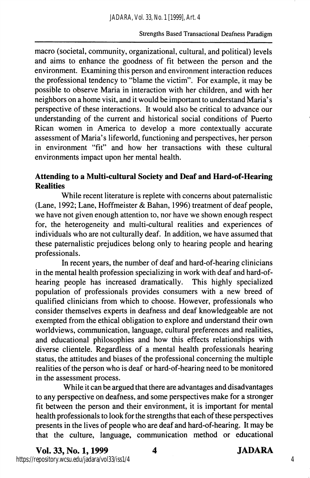macro (societal, community, organizational, cultural, and political) levels and aims to enhance the goodness of fit between the person and the environment. Examining this person and environment interaction reduces the professional tendency to "blame the victim". For example, it may be possible to observe Maria in interaction with her children, and with her neighbors on a home visit, and it would be important to understand Maria's perspective of these interactions. It would also be critical to advance our understanding of the current and historical social conditions of Puerto Rican women in America to develop a more contextually accurate assessment of Maria's lifeworld, functioning and perspectives, her person in environment "fit" and how her transactions with these cultural environments impact upon her mental health.

# Attending to a Multi-cultural Society and Deaf and Hard-of-Hearing **Realities**

While recent literature is replete with concerns about paternalistic (Lane, 1992; Lane, Hoffmeister & Bahan, 1996) treatment of deaf people, we have not given enough attention to, nor have we shown enough respect for, the heterogeneity and multi-cultural realities and experiences of individuals who are not culturally deaf. In addition, we have assumed that these paternalistic prejudices belong only to hearing people and hearing professionals.

In recent years, the number of deaf and hard-of-hearing clinicians in the mental health profession specializing in work with deaf and hard-of-<br>hearing people has increased dramatically. This highly specialized hearing people has increased dramatically. population of professionals provides consumers with a new breed of qualified clinicians from which to choose. However, professionals who consider themselves experts in deafness and deaf knowledgeable are not exempted from the ethical obligation to explore and understand their own worldviews, communication, language, cultural preferences and realities, and educational philosophies and how this effects relationships with diverse clientele. Regardless of a mental health professionals hearing status, the attitudes and biases of the professional concerning the multiple realities of the person who is deaf or hard-of-hearing need to be monitored in the assessment process.

While it can be argued that there are advantages and disadvantages to any perspective on deafness, and some perspectives make for a stronger fit between the person and their environment, it is important for mental health professionals to look for the strengths that each of these perspectives presents in the lives of people who are deaf and hard-of-hearing. It may be that the culture, language, communication method or educational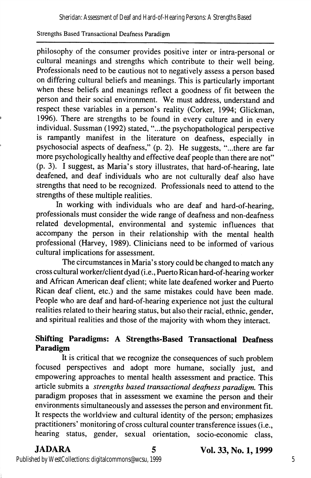philosophy of the consumer provides positive inter or intra-personal or cultural meanings and strengths which contribute to their well being. Professionals need to be cautious not to negatively assess a person based on differing cultural beliefs and meanings. This is particularly important when these beliefs and meanings reflect a goodness of fit between the person and their social environment. We must address, understand and respect these variables in a person's reality (Corker, 1994; Glickman, 1996). There are strengths to be found in every culture and in every individual. Sussman (1992) stated, "...the psychopathological perspective is rampantly manifest in the literature on deafness, especially in psychosocial aspects of deafness," (p. 2). He suggests, "...there are far more psychologically healthy and effective deaf people than there are not" (p. 3). I suggest, as Maria's story illustrates, that hard-of-hearing, late deafened, and deaf individuals who are not culturally deaf also have strengths that need to be recognized. Professionals need to attend to the strengths of these multiple realities.

In working with individuals who are deaf and hard-of-hearing, professionals must consider the wide range of deafness and non-deafness related developmental, environmental and systemic influences that accompany the person in their relationship with the mental health professional (Harvey, 1989). Clinicians need to be informed of various cultural implications for assessment.

The circumstances in Maria's story could be changed to match any cross cultural worker/client dyad (i.e., Puerto Rican hard-of-hearing worker and African American deaf client; white late deafened worker and Puerto Rican deaf client, etc.) and the same mistakes could have been made. People who are deaf and hard-of-hearing experience not just the cultural realities related to their hearing status, but also their racial, ethnic, gender, and spiritual realities and those of the majority with whom they interact.

# Shifting Paradigms: A Strengths-Based Transactional Deafness Paradigm

It is critical that we recognize the consequences of such problem focused perspectives and adopt more humane, socially just, and empowering approaches to mental health assessment and practice. This article submits a strengths based transactional deafness paradigm. This paradigm proposes that in assessment we examine the person and their environments simultaneously and assesses the person and environment fit. It respects the worldview and cultural identity of the person; emphasizes practitioners' monitoring of cross cultural counter transference issues (i.e., hearing status, gender, sexual orientation, socio-economic class,

JADARA 5 Vol. 33, No. 1,1999

Published by WestCollections: digitalcommons@wcsu, 1999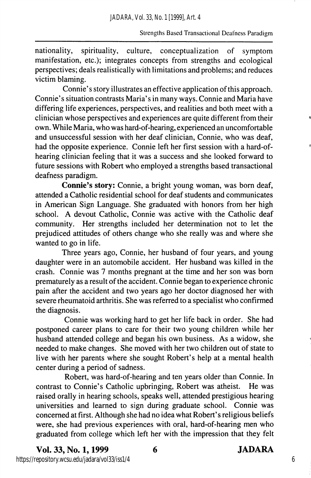nationality, spirituality, culture, conceptualization of symptom manifestation, etc.); integrates concepts from strengths and ecological perspectives; deals realistically with limitations and problems; and reduces victim blaming.

Connie's story illustrates an effective application of this approach. Connie's situation contrasts Maria's in many ways. Connie and Maria have differing life experiences, perspectives, and realities and both meet with a clinician whose perspectives and experiences are quite different from their own. While Maria, who was hard-of-hearing, experienced an uncomfortable and unsuccessful session with her deaf clinician, Connie, who was deaf, had the opposite experience. Connie left her first session with a hard-ofhearing clinician feeling that it was a success and she looked forward to future sessions with Robert who employed a strengths based transactional deafness paradigm.

Connie's story: Connie, a bright young woman, was born deaf, attended a Catholic residential school for deaf students and communicates in American Sign Language. She graduated with honors from her high school. A devout Catholic, Connie was active with the Catholic deaf community. Her strengths included her determination not to let the prejudiced attitudes of others change who she really was and where she wanted to go in life.

Three years ago, Connie, her husband of four years, and young daughter were in an automobile accident. Her husband was killed in the crash. Connie was 7 months pregnant at the time and her son was bom prematurely as a result of the accident. Connie began to experience chronic pain after the accident and two years ago her doctor diagnosed her with severe rheumatoid arthritis. She was referred to a specialist who confirmed the diagnosis.

Connie was working hard to get her life back in order. She had postponed career plans to care for their two young children while her husband attended college and began his own business. As a widow, she needed to make changes. She moved with her two children out of state to live with her parents where she sought Robert's help at a mental health center during a period of sadness.

Robert, was hard-of-hearing and ten years older than Connie. In contrast to Connie's Catholic upbringing, Robert was atheist. He was raised orally in hearing schools, speaks well, attended prestigious hearing universities and learned to sign during graduate school. Connie was concerned at first. Although she had no idea what Robert's religious beliefs were, she had previous experiences with oral, hard-of-hearing men who graduated from college which left her with the impression that they felt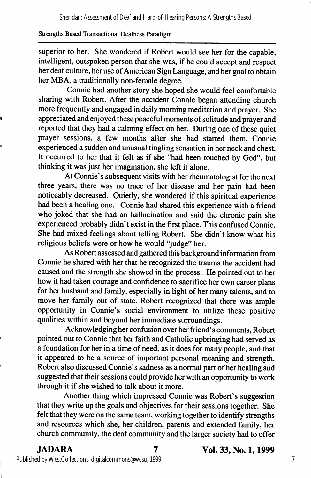superior to her. She wondered if Robert would see her for the capable, intelligent, outspoken person that she was, if he could accept and respect her deaf culture, her use of American Sign Language, and her goal to obtain her MBA, a traditionally non-female degree.

Connie had another story she hoped she would feel comfortable sharing with Robert. After the accident Connie began attending church more frequently and engaged in daily morning meditation and prayer. She appreciated and enjoyed these peaceful moments of solitude and prayer and reported that they had a calming effect on her. During one of these quiet prayer sessions, a few months after she had started them, Connie experienced a sudden and unusual tingling sensation in her neck and chest. It occurred to her that it felt as if she "had been touched by God", but thinking it was just her imagination, she left it alone.

At Connie's subsequent visits with her rheumatologist for the next three years, there was no trace of her disease and her pain had been noticeably decreased. Quietly, she wondered if this spiritual experience had been a healing one. Connie had shared this experience with a friend who joked that she had an hallucination and said the chronic pain she experienced probably didn't exist in the first place. This confused Connie. She had mixed feelings about telling Robert. She didn't know what his religious beliefs were or how he would "judge" her.

As Robert assessed and gathered this background information from Connie he shared with her that he recognized the trauma the accident had caused and the strength she showed in the process. He pointed out to her how it had taken courage and confidence to sacrifice her own career plans for her husband and family, especially in light of her many talents, and to move her family out of state. Robert recognized that there was ample opportunity in Connie's social environment to utilize these positive qualities within and beyond her immediate surroundings.

Acknowledging her confusion over her friend's comments, Robert pointed out to Connie that her faith and Catholic upbringing had served as a foundation for her in a time of need, as it does for many people, and that it appeared to be a source of important personal meaning and strength. Robert also discussed Connie's sadness as a normal part of her healing and suggested that their sessions could provide her with an opportunity to work through it if she wished to talk about it more.

Another thing which impressed Connie was Robert's suggestion that they write up the goals and objectives for their sessions together. She felt that they were on the same team, working together to identify strengths and resources which she, her children, parents and extended f^amily, her church community, the deaf community and the larger society had to offer

JADARA 7 Vol. 33, No. 1,1999

Published by WestCollections: digitalcommons@wcsu, 1999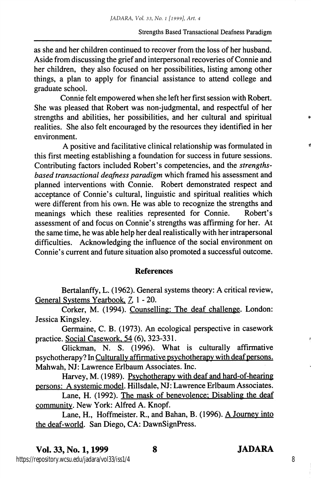as she and her children continued to recover from the loss of her husband. Aside from discussing the grief and interpersonal recoveries of Connie and her children, they also focused on her possibilities, listing among other things, a plan to apply for financial assistance to attend college and graduate school.

Connie felt empowered when she left her first session with Robert. She was pleased that Robert was non-judgmental, and respectful of her strengths and abilities, her possibilities, and her cultural and spiritual realities. She also felt encouraged by the resources they identified in her environment.

A positive and facilitative clinical relationship was formulated in this first meeting establishing a foundation for success in future sessions. Contributing factors included Robert's competencies, and the strengthsbased transactional deafness paradigm which framed his assessment and planned interventions with Connie. Robert demonstrated respect and acceptance of Connie's cultural, linguistic and spiritual realities which were different from his own. He was able to recognize the strengths and meanings which these realities represented for Connie. Robert's assessment of and focus on Connie's strengths was affirming for her. At the same time, he was able help her deal realistically with her intrapersonal difficulties. Acknowledging the influence of the social environment on Connie's current and future situation also promoted a successful outcome.

### References

Bertalanffy, L. (1962). General systems theory: A critical review. General Systems Yearbook,  $7, 1 - 20$ .

Corker, M. (1994). Counselling: The deaf challenge. London: Jessica Kingsley.

Germaine, C. B. (1973). An ecological perspective in casework practice. Social Casework. 54 (6), 323-331.

Glickman, N. S. (1996). What is culturally affirmative psychotherapy? In Culturallv affirmative psvchotherapv with deaf persons. Mahwah, NJ: Lawrence Erlbaum Associates. Inc.

Harvey, M. (1989). Psvchotherapv with deaf and hard-of-hearing persons: A svstemic model. Hillsdale, NJ: Lawrence Erlbaum Associates.

Lane, H. (1992). The mask of benevolence: Disabling the deaf community. New York: Alfred A. Knopf.

Lane, H., Hoffmeister. R., and Bahan, B. (1996). A Journey into the deaf-world. San Diego, CA: DawnSignPress.